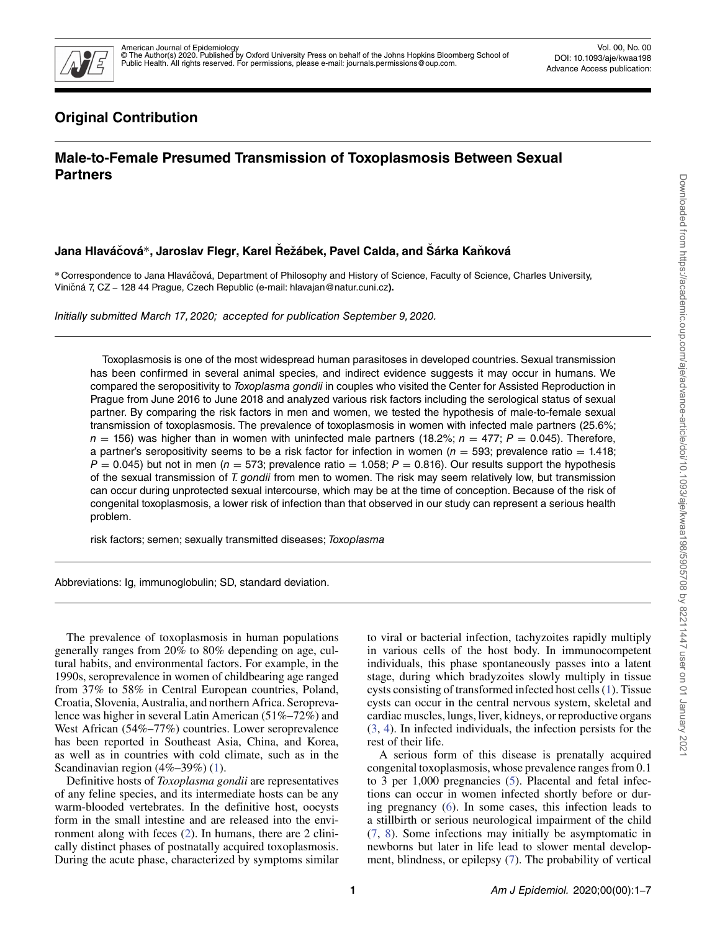

# **Original Contribution**

# **Male-to-Female Presumed Transmission of Toxoplasmosis Between Sexual Partners**

# **Jana Hlaváčová**\*, Jaroslav Flegr, Karel Řežábek, Pavel Calda, and Šárka Kaňková

∗ Correspondence to Jana Hlavácová, Department of Philosophy and History of Science, Faculty of Science, Charles University, ˇ Viničná 7, CZ - 128 44 Prague, Czech Republic (e-mail: hlavajan@natur.cuni.cz).

Initially submitted March 17, 2020; accepted for publication September 9, 2020.

Toxoplasmosis is one of the most widespread human parasitoses in developed countries. Sexual transmission has been confirmed in several animal species, and indirect evidence suggests it may occur in humans. We compared the seropositivity to Toxoplasma gondii in couples who visited the Center for Assisted Reproduction in Prague from June 2016 to June 2018 and analyzed various risk factors including the serological status of sexual partner. By comparing the risk factors in men and women, we tested the hypothesis of male-to-female sexual transmission of toxoplasmosis. The prevalence of toxoplasmosis in women with infected male partners (25.6%;  $n = 156$ ) was higher than in women with uninfected male partners (18.2%;  $n = 477$ ;  $P = 0.045$ ). Therefore, a partner's seropositivity seems to be a risk factor for infection in women ( $n = 593$ ; prevalence ratio = 1.418;  $P = 0.045$ ) but not in men ( $n = 573$ ; prevalence ratio = 1.058;  $P = 0.816$ ). Our results support the hypothesis of the sexual transmission of T. gondii from men to women. The risk may seem relatively low, but transmission can occur during unprotected sexual intercourse, which may be at the time of conception. Because of the risk of congenital toxoplasmosis, a lower risk of infection than that observed in our study can represent a serious health problem.

risk factors; semen; sexually transmitted diseases; Toxoplasma

Abbreviations: Ig, immunoglobulin; SD, standard deviation.

The prevalence of toxoplasmosis in human populations generally ranges from 20% to 80% depending on age, cultural habits, and environmental factors. For example, in the 1990s, seroprevalence in women of childbearing age ranged from 37% to 58% in Central European countries, Poland, Croatia, Slovenia, Australia, and northern Africa. Seroprevalence was higher in several Latin American (51%–72%) and West African (54%–77%) countries. Lower seroprevalence has been reported in Southeast Asia, China, and Korea, as well as in countries with cold climate, such as in the Scandinavian region (4%–39%) [\(1\)](#page-5-0).

Definitive hosts of *Toxoplasma gondii* are representatives of any feline species, and its intermediate hosts can be any warm-blooded vertebrates. In the definitive host, oocysts form in the small intestine and are released into the environment along with feces [\(2\)](#page-5-1). In humans, there are 2 clinically distinct phases of postnatally acquired toxoplasmosis. During the acute phase, characterized by symptoms similar to viral or bacterial infection, tachyzoites rapidly multiply in various cells of the host body. In immunocompetent individuals, this phase spontaneously passes into a latent stage, during which bradyzoites slowly multiply in tissue cysts consisting of transformed infected host cells [\(1\)](#page-5-0). Tissue cysts can occur in the central nervous system, skeletal and cardiac muscles, lungs, liver, kidneys, or reproductive organs [\(3,](#page-5-2) [4\)](#page-5-3). In infected individuals, the infection persists for the rest of their life.

A serious form of this disease is prenatally acquired congenital toxoplasmosis, whose prevalence ranges from 0.1 to 3 per 1,000 pregnancies [\(5\)](#page-5-4). Placental and fetal infections can occur in women infected shortly before or during pregnancy [\(6\)](#page-5-5). In some cases, this infection leads to a stillbirth or serious neurological impairment of the child [\(7,](#page-5-6) [8\)](#page-5-7). Some infections may initially be asymptomatic in newborns but later in life lead to slower mental development, blindness, or epilepsy [\(7\)](#page-5-6). The probability of vertical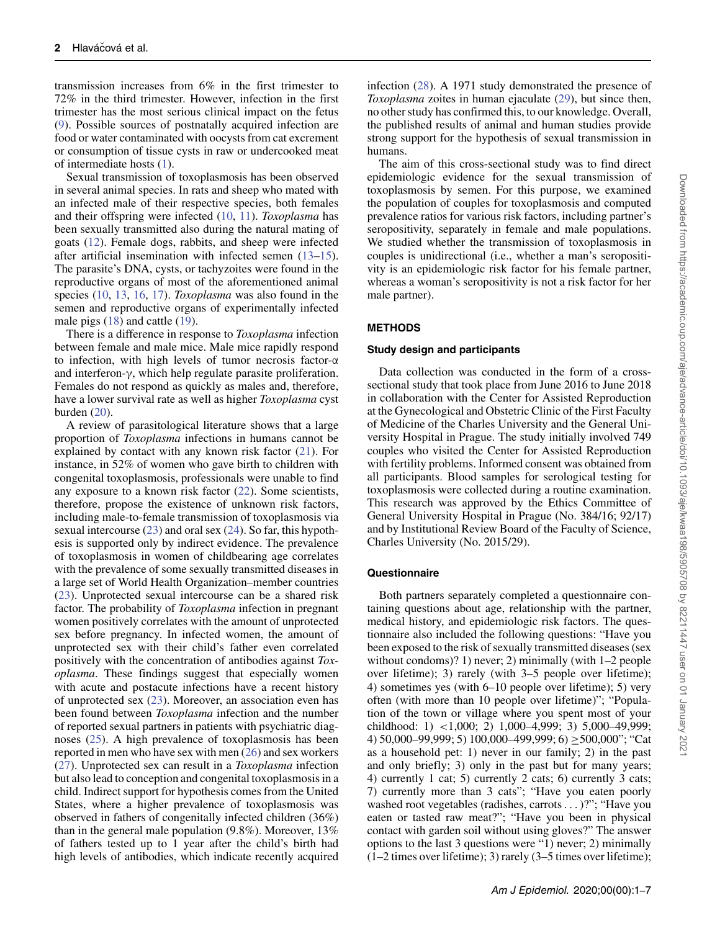transmission increases from 6% in the first trimester to 72% in the third trimester. However, infection in the first trimester has the most serious clinical impact on the fetus [\(9\)](#page-6-0). Possible sources of postnatally acquired infection are food or water contaminated with oocysts from cat excrement or consumption of tissue cysts in raw or undercooked meat of intermediate hosts [\(1\)](#page-5-0).

Sexual transmission of toxoplasmosis has been observed in several animal species. In rats and sheep who mated with an infected male of their respective species, both females and their offspring were infected [\(10,](#page-6-1) [11\)](#page-6-2). *Toxoplasma* has been sexually transmitted also during the natural mating of goats [\(12\)](#page-6-3). Female dogs, rabbits, and sheep were infected after artificial insemination with infected semen [\(13](#page-6-4)[–15\)](#page-6-5). The parasite's DNA, cysts, or tachyzoites were found in the reproductive organs of most of the aforementioned animal species [\(10,](#page-6-1) [13,](#page-6-4) [16,](#page-6-6) [17\)](#page-6-7). *Toxoplasma* was also found in the semen and reproductive organs of experimentally infected male pigs [\(18\)](#page-6-8) and cattle [\(19\)](#page-6-9).

There is a difference in response to *Toxoplasma* infection between female and male mice. Male mice rapidly respond to infection, with high levels of tumor necrosis factor-α and interferon-γ, which help regulate parasite proliferation. Females do not respond as quickly as males and, therefore, have a lower survival rate as well as higher *Toxoplasma* cyst burden  $(20)$ .

A review of parasitological literature shows that a large proportion of *Toxoplasma* infections in humans cannot be explained by contact with any known risk factor [\(21\)](#page-6-11). For instance, in 52% of women who gave birth to children with congenital toxoplasmosis, professionals were unable to find any exposure to a known risk factor [\(22\)](#page-6-12). Some scientists, therefore, propose the existence of unknown risk factors, including male-to-female transmission of toxoplasmosis via sexual intercourse  $(23)$  and oral sex  $(24)$ . So far, this hypothesis is supported only by indirect evidence. The prevalence of toxoplasmosis in women of childbearing age correlates with the prevalence of some sexually transmitted diseases in a large set of World Health Organization–member countries [\(23\)](#page-6-13). Unprotected sexual intercourse can be a shared risk factor. The probability of *Toxoplasma* infection in pregnant women positively correlates with the amount of unprotected sex before pregnancy. In infected women, the amount of unprotected sex with their child's father even correlated positively with the concentration of antibodies against *Toxoplasma*. These findings suggest that especially women with acute and postacute infections have a recent history of unprotected sex [\(23\)](#page-6-13). Moreover, an association even has been found between *Toxoplasma* infection and the number of reported sexual partners in patients with psychiatric diagnoses [\(25\)](#page-6-15). A high prevalence of toxoplasmosis has been reported in men who have sex with men [\(26\)](#page-6-16) and sex workers [\(27\)](#page-6-17). Unprotected sex can result in a *Toxoplasma* infection but also lead to conception and congenital toxoplasmosis in a child. Indirect support for hypothesis comes from the United States, where a higher prevalence of toxoplasmosis was observed in fathers of congenitally infected children (36%) than in the general male population (9.8%). Moreover, 13% of fathers tested up to 1 year after the child's birth had high levels of antibodies, which indicate recently acquired infection [\(28\)](#page-6-18). A 1971 study demonstrated the presence of *Toxoplasma* zoites in human ejaculate [\(29\)](#page-6-19), but since then, no other study has confirmed this, to our knowledge. Overall, the published results of animal and human studies provide strong support for the hypothesis of sexual transmission in humans.

The aim of this cross-sectional study was to find direct epidemiologic evidence for the sexual transmission of toxoplasmosis by semen. For this purpose, we examined the population of couples for toxoplasmosis and computed prevalence ratios for various risk factors, including partner's seropositivity, separately in female and male populations. We studied whether the transmission of toxoplasmosis in couples is unidirectional (i.e., whether a man's seropositivity is an epidemiologic risk factor for his female partner, whereas a woman's seropositivity is not a risk factor for her male partner).

## **METHODS**

#### **Study design and participants**

Data collection was conducted in the form of a crosssectional study that took place from June 2016 to June 2018 in collaboration with the Center for Assisted Reproduction at the Gynecological and Obstetric Clinic of the First Faculty of Medicine of the Charles University and the General University Hospital in Prague. The study initially involved 749 couples who visited the Center for Assisted Reproduction with fertility problems. Informed consent was obtained from all participants. Blood samples for serological testing for toxoplasmosis were collected during a routine examination. This research was approved by the Ethics Committee of General University Hospital in Prague (No. 384/16; 92/17) and by Institutional Review Board of the Faculty of Science, Charles University (No. 2015/29).

### **Questionnaire**

Both partners separately completed a questionnaire containing questions about age, relationship with the partner, medical history, and epidemiologic risk factors. The questionnaire also included the following questions: "Have you been exposed to the risk of sexually transmitted diseases (sex without condoms)? 1) never; 2) minimally (with 1–2 people over lifetime); 3) rarely (with 3–5 people over lifetime); 4) sometimes yes (with 6–10 people over lifetime); 5) very often (with more than 10 people over lifetime)"; "Population of the town or village where you spent most of your childhood: 1) *<*1,000; 2) 1,000–4,999; 3) 5,000–49,999; 4) 50,000–99,999; 5) 100,000–499,999; 6) ≥500,000"; "Cat as a household pet: 1) never in our family; 2) in the past and only briefly; 3) only in the past but for many years; 4) currently 1 cat; 5) currently 2 cats; 6) currently 3 cats; 7) currently more than 3 cats"; "Have you eaten poorly washed root vegetables (radishes, carrots*...* )?"; "Have you eaten or tasted raw meat?"; "Have you been in physical contact with garden soil without using gloves?" The answer options to the last 3 questions were "1) never; 2) minimally (1–2 times over lifetime); 3) rarely (3–5 times over lifetime);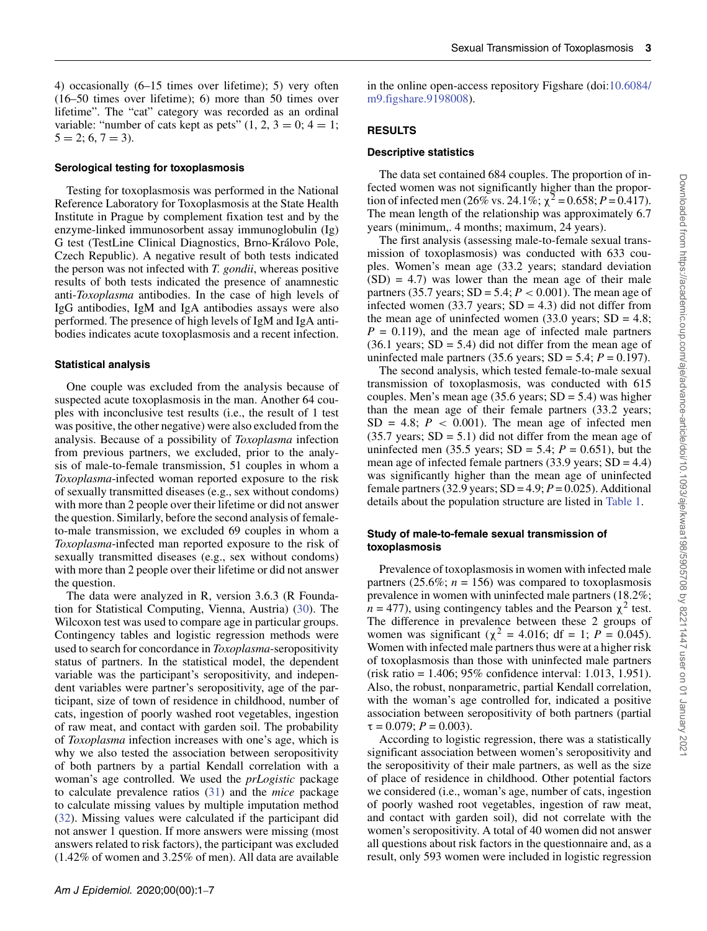in the online open-access repository Figshare (doi[:10.6084/](10.6084/m9.figshare.9198008)

4) occasionally (6–15 times over lifetime); 5) very often (16–50 times over lifetime); 6) more than 50 times over lifetime". The "cat" category was recorded as an ordinal variable: "number of cats kept as pets"  $(1, 2, 3 = 0; 4 = 1;$  $5 = 2$ ; 6, 7 = 3).

#### **Serological testing for toxoplasmosis**

Testing for toxoplasmosis was performed in the National Reference Laboratory for Toxoplasmosis at the State Health Institute in Prague by complement fixation test and by the enzyme-linked immunosorbent assay immunoglobulin (Ig) G test (TestLine Clinical Diagnostics, Brno-Královo Pole, Czech Republic). A negative result of both tests indicated the person was not infected with *T. gondii*, whereas positive results of both tests indicated the presence of anamnestic anti-*Toxoplasma* antibodies. In the case of high levels of IgG antibodies, IgM and IgA antibodies assays were also performed. The presence of high levels of IgM and IgA antibodies indicates acute toxoplasmosis and a recent infection.

#### **Statistical analysis**

One couple was excluded from the analysis because of suspected acute toxoplasmosis in the man. Another 64 couples with inconclusive test results (i.e., the result of 1 test was positive, the other negative) were also excluded from the analysis. Because of a possibility of *Toxoplasma* infection from previous partners, we excluded, prior to the analysis of male-to-female transmission, 51 couples in whom a *Toxoplasma*-infected woman reported exposure to the risk of sexually transmitted diseases (e.g., sex without condoms) with more than 2 people over their lifetime or did not answer the question. Similarly, before the second analysis of femaleto-male transmission, we excluded 69 couples in whom a *Toxoplasma*-infected man reported exposure to the risk of sexually transmitted diseases (e.g., sex without condoms) with more than 2 people over their lifetime or did not answer the question.

The data were analyzed in R, version 3.6.3 (R Foundation for Statistical Computing, Vienna, Austria) [\(30\)](#page-6-20). The Wilcoxon test was used to compare age in particular groups. Contingency tables and logistic regression methods were used to search for concordance in *Toxoplasma*-seropositivity status of partners. In the statistical model, the dependent variable was the participant's seropositivity, and independent variables were partner's seropositivity, age of the participant, size of town of residence in childhood, number of cats, ingestion of poorly washed root vegetables, ingestion of raw meat, and contact with garden soil. The probability of *Toxoplasma* infection increases with one's age, which is why we also tested the association between seropositivity of both partners by a partial Kendall correlation with a woman's age controlled. We used the *prLogistic* package to calculate prevalence ratios [\(31\)](#page-6-21) and the *mice* package to calculate missing values by multiple imputation method [\(32\)](#page-6-22). Missing values were calculated if the participant did not answer 1 question. If more answers were missing (most answers related to risk factors), the participant was excluded (1.42% of women and 3.25% of men). All data are available

#### **RESULTS**

#### **Descriptive statistics**

[m9.figshare.9198008\)](10.6084/m9.figshare.9198008).

The data set contained 684 couples. The proportion of infected women was not significantly higher than the proportion of infected men (26% vs. 24.1%;  $\chi^2$  = 0.658; *P* = 0.417). The mean length of the relationship was approximately 6.7 years (minimum,. 4 months; maximum, 24 years).

The first analysis (assessing male-to-female sexual transmission of toxoplasmosis) was conducted with 633 couples. Women's mean age (33.2 years; standard deviation  $(SD) = 4.7$ ) was lower than the mean age of their male partners (35.7 years;  $SD = 5.4$ ;  $P < 0.001$ ). The mean age of infected women (33.7 years;  $SD = 4.3$ ) did not differ from the mean age of uninfected women (33.0 years;  $SD = 4.8$ ;  $P = 0.119$ , and the mean age of infected male partners  $(36.1 \text{ years}; SD = 5.4)$  did not differ from the mean age of uninfected male partners (35.6 years;  $SD = 5.4$ ;  $P = 0.197$ ).

The second analysis, which tested female-to-male sexual transmission of toxoplasmosis, was conducted with 615 couples. Men's mean age (35.6 years;  $SD = 5.4$ ) was higher than the mean age of their female partners (33.2 years;  $SD = 4.8$ ;  $P < 0.001$ ). The mean age of infected men  $(35.7 \text{ years}; SD = 5.1)$  did not differ from the mean age of uninfected men (35.5 years;  $SD = 5.4$ ;  $P = 0.651$ ), but the mean age of infected female partners  $(33.9 \text{ years}; SD = 4.4)$ was significantly higher than the mean age of uninfected female partners (32.9 years;  $SD = 4.9$ ;  $P = 0.025$ ). Additional details about the population structure are listed in [Table 1.](#page-3-0)

### **Study of male-to-female sexual transmission of toxoplasmosis**

Prevalence of toxoplasmosis in women with infected male partners  $(25.6\%; n = 156)$  was compared to toxoplasmosis prevalence in women with uninfected male partners (18.2%;  $n = 477$ ), using contingency tables and the Pearson  $\chi^2$  test. The difference in prevalence between these 2 groups of women was significant ( $\chi^2$  = 4.016; df = 1; *P* = 0.045). Women with infected male partners thus were at a higher risk of toxoplasmosis than those with uninfected male partners (risk ratio = 1.406; 95% confidence interval: 1.013, 1.951). Also, the robust, nonparametric, partial Kendall correlation, with the woman's age controlled for, indicated a positive association between seropositivity of both partners (partial  $\tau = 0.079$ ;  $P = 0.003$ ).

According to logistic regression, there was a statistically significant association between women's seropositivity and the seropositivity of their male partners, as well as the size of place of residence in childhood. Other potential factors we considered (i.e., woman's age, number of cats, ingestion of poorly washed root vegetables, ingestion of raw meat, and contact with garden soil), did not correlate with the women's seropositivity. A total of 40 women did not answer all questions about risk factors in the questionnaire and, as a result, only 593 women were included in logistic regression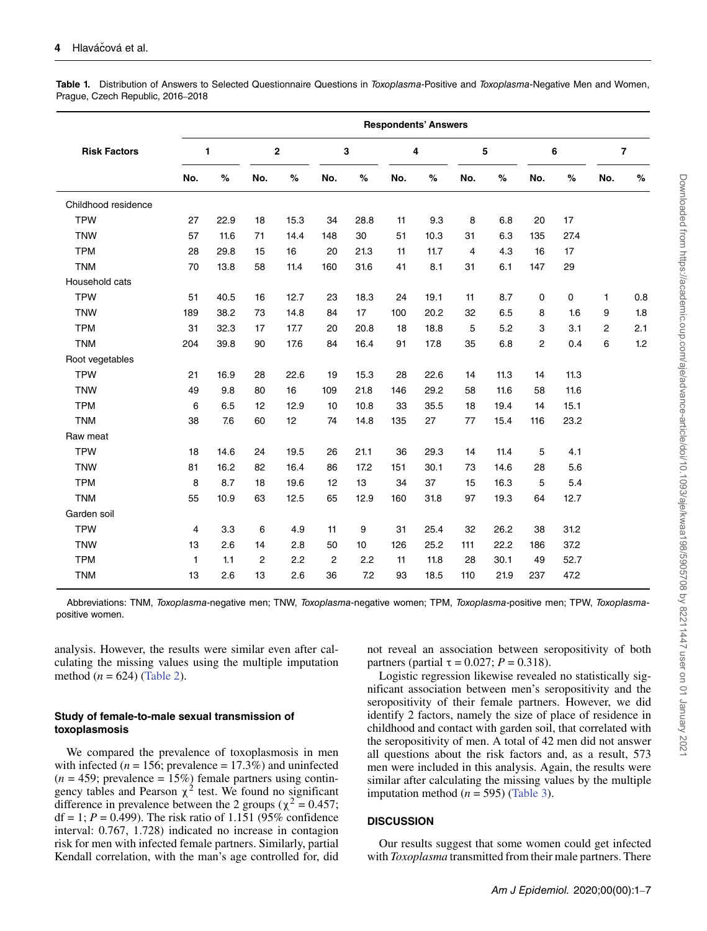<span id="page-3-0"></span>Table 1. Distribution of Answers to Selected Questionnaire Questions in Toxoplasma-Positive and Toxoplasma-Negative Men and Women, Prague, Czech Republic, 2016–2018

|                     | <b>Respondents' Answers</b> |      |                |      |                |      |     |      |     |      |                |      |                         |      |
|---------------------|-----------------------------|------|----------------|------|----------------|------|-----|------|-----|------|----------------|------|-------------------------|------|
| <b>Risk Factors</b> | 1                           |      | $\bf 2$        |      | 3              |      | 4   |      | 5   |      | 6              |      | $\overline{\mathbf{z}}$ |      |
|                     | No.                         | $\%$ | No.            | $\%$ | No.            | $\%$ | No. | %    | No. | $\%$ | No.            | %    | No.                     | $\%$ |
| Childhood residence |                             |      |                |      |                |      |     |      |     |      |                |      |                         |      |
| <b>TPW</b>          | 27                          | 22.9 | 18             | 15.3 | 34             | 28.8 | 11  | 9.3  | 8   | 6.8  | 20             | 17   |                         |      |
| <b>TNW</b>          | 57                          | 11.6 | 71             | 14.4 | 148            | 30   | 51  | 10.3 | 31  | 6.3  | 135            | 27.4 |                         |      |
| <b>TPM</b>          | 28                          | 29.8 | 15             | 16   | 20             | 21.3 | 11  | 11.7 | 4   | 4.3  | 16             | 17   |                         |      |
| <b>TNM</b>          | 70                          | 13.8 | 58             | 11.4 | 160            | 31.6 | 41  | 8.1  | 31  | 6.1  | 147            | 29   |                         |      |
| Household cats      |                             |      |                |      |                |      |     |      |     |      |                |      |                         |      |
| <b>TPW</b>          | 51                          | 40.5 | 16             | 12.7 | 23             | 18.3 | 24  | 19.1 | 11  | 8.7  | $\mathbf 0$    | 0    | 1                       | 0.8  |
| <b>TNW</b>          | 189                         | 38.2 | 73             | 14.8 | 84             | 17   | 100 | 20.2 | 32  | 6.5  | 8              | 1.6  | 9                       | 1.8  |
| <b>TPM</b>          | 31                          | 32.3 | 17             | 17.7 | 20             | 20.8 | 18  | 18.8 | 5   | 5.2  | 3              | 3.1  | 2                       | 2.1  |
| <b>TNM</b>          | 204                         | 39.8 | 90             | 17.6 | 84             | 16.4 | 91  | 17.8 | 35  | 6.8  | $\overline{2}$ | 0.4  | 6                       | 1.2  |
| Root vegetables     |                             |      |                |      |                |      |     |      |     |      |                |      |                         |      |
| <b>TPW</b>          | 21                          | 16.9 | 28             | 22.6 | 19             | 15.3 | 28  | 22.6 | 14  | 11.3 | 14             | 11.3 |                         |      |
| <b>TNW</b>          | 49                          | 9.8  | 80             | 16   | 109            | 21.8 | 146 | 29.2 | 58  | 11.6 | 58             | 11.6 |                         |      |
| <b>TPM</b>          | 6                           | 6.5  | 12             | 12.9 | 10             | 10.8 | 33  | 35.5 | 18  | 19.4 | 14             | 15.1 |                         |      |
| <b>TNM</b>          | 38                          | 7.6  | 60             | 12   | 74             | 14.8 | 135 | 27   | 77  | 15.4 | 116            | 23.2 |                         |      |
| Raw meat            |                             |      |                |      |                |      |     |      |     |      |                |      |                         |      |
| <b>TPW</b>          | 18                          | 14.6 | 24             | 19.5 | 26             | 21.1 | 36  | 29.3 | 14  | 11.4 | 5              | 4.1  |                         |      |
| <b>TNW</b>          | 81                          | 16.2 | 82             | 16.4 | 86             | 17.2 | 151 | 30.1 | 73  | 14.6 | 28             | 5.6  |                         |      |
| <b>TPM</b>          | 8                           | 8.7  | 18             | 19.6 | 12             | 13   | 34  | 37   | 15  | 16.3 | 5              | 5.4  |                         |      |
| <b>TNM</b>          | 55                          | 10.9 | 63             | 12.5 | 65             | 12.9 | 160 | 31.8 | 97  | 19.3 | 64             | 12.7 |                         |      |
| Garden soil         |                             |      |                |      |                |      |     |      |     |      |                |      |                         |      |
| <b>TPW</b>          | 4                           | 3.3  | 6              | 4.9  | 11             | 9    | 31  | 25.4 | 32  | 26.2 | 38             | 31.2 |                         |      |
| <b>TNW</b>          | 13                          | 2.6  | 14             | 2.8  | 50             | 10   | 126 | 25.2 | 111 | 22.2 | 186            | 37.2 |                         |      |
| <b>TPM</b>          | $\mathbf{1}$                | 1.1  | $\overline{2}$ | 2.2  | $\overline{2}$ | 2.2  | 11  | 11.8 | 28  | 30.1 | 49             | 52.7 |                         |      |
| <b>TNM</b>          | 13                          | 2.6  | 13             | 2.6  | 36             | 7.2  | 93  | 18.5 | 110 | 21.9 | 237            | 47.2 |                         |      |
|                     |                             |      |                |      |                |      |     |      |     |      |                |      |                         |      |

Abbreviations: TNM, Toxoplasma-negative men; TNW, Toxoplasma-negative women; TPM, Toxoplasma-positive men; TPW, Toxoplasmapositive women.

analysis. However, the results were similar even after calculating the missing values using the multiple imputation method  $(n = 624)$  [\(Table 2\)](#page-4-0).

#### **Study of female-to-male sexual transmission of toxoplasmosis**

We compared the prevalence of toxoplasmosis in men with infected ( $n = 156$ ; prevalence = 17.3%) and uninfected  $(n = 459;$  prevalence  $= 15\%)$  female partners using contingency tables and Pearson  $\chi^2$  test. We found no significant difference in prevalence between the 2 groups ( $\chi^2 = 0.457$ ; df = 1;  $P = 0.499$ ). The risk ratio of 1.151 (95% confidence interval: 0.767, 1.728) indicated no increase in contagion risk for men with infected female partners. Similarly, partial Kendall correlation, with the man's age controlled for, did

not reveal an association between seropositivity of both partners (partial  $τ = 0.027$ ;  $P = 0.318$ ).

Logistic regression likewise revealed no statistically significant association between men's seropositivity and the seropositivity of their female partners. However, we did identify 2 factors, namely the size of place of residence in childhood and contact with garden soil, that correlated with the seropositivity of men. A total of 42 men did not answer all questions about the risk factors and, as a result, 573 men were included in this analysis. Again, the results were similar after calculating the missing values by the multiple imputation method  $(n = 595)$  [\(Table 3\)](#page-4-1).

# **DISCUSSION**

Our results suggest that some women could get infected with *Toxoplasma* transmitted from their male partners. There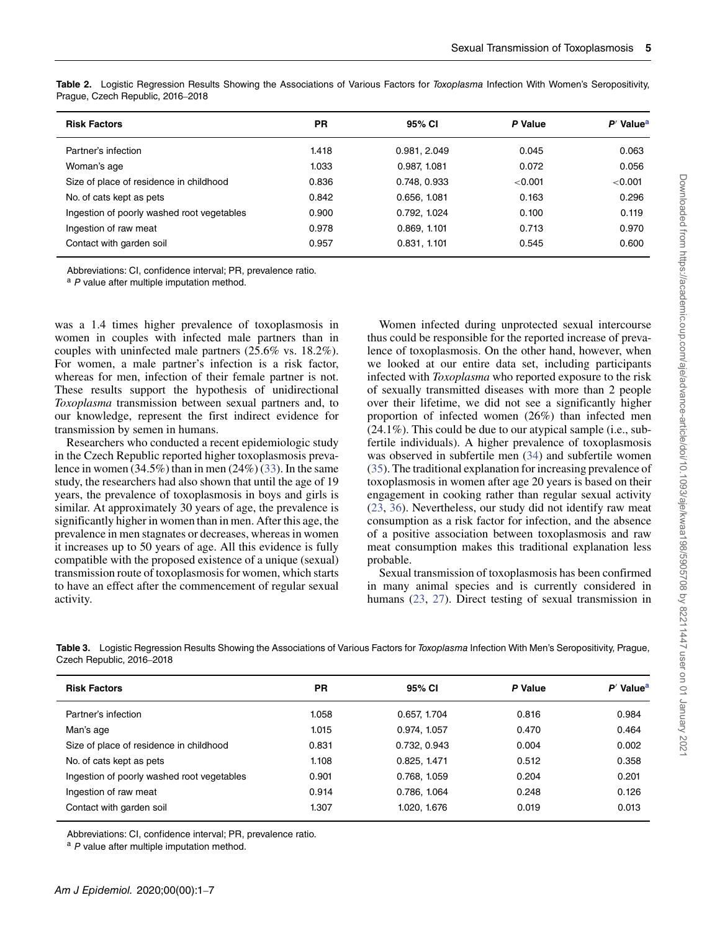| <b>Risk Factors</b>                        | <b>PR</b> | 95% CI       | P Value | $P'$ Value <sup>a</sup> |
|--------------------------------------------|-----------|--------------|---------|-------------------------|
| Partner's infection                        | 1.418     | 0.981, 2.049 | 0.045   | 0.063                   |
| Woman's age                                | 1.033     | 0.987, 1.081 | 0.072   | 0.056                   |
| Size of place of residence in childhood    | 0.836     | 0.748, 0.933 | < 0.001 | < 0.001                 |
| No. of cats kept as pets                   | 0.842     | 0.656, 1.081 | 0.163   | 0.296                   |
| Ingestion of poorly washed root vegetables | 0.900     | 0.792, 1.024 | 0.100   | 0.119                   |
| Ingestion of raw meat                      | 0.978     | 0.869, 1.101 | 0.713   | 0.970                   |
| Contact with garden soil                   | 0.957     | 0.831, 1.101 | 0.545   | 0.600                   |

<span id="page-4-0"></span>**Table 2.** Logistic Regression Results Showing the Associations of Various Factors for Toxoplasma Infection With Women's Seropositivity, Prague, Czech Republic, 2016–2018

Abbreviations: CI, confidence interval; PR, prevalence ratio.

 $a$  P value after multiple imputation method.

was a 1.4 times higher prevalence of toxoplasmosis in women in couples with infected male partners than in couples with uninfected male partners (25.6% vs. 18.2%). For women, a male partner's infection is a risk factor, whereas for men, infection of their female partner is not. These results support the hypothesis of unidirectional *Toxoplasma* transmission between sexual partners and, to our knowledge, represent the first indirect evidence for transmission by semen in humans.

Researchers who conducted a recent epidemiologic study in the Czech Republic reported higher toxoplasmosis prevalence in women  $(34.5\%)$  than in men  $(24\%)$   $(33)$ . In the same study, the researchers had also shown that until the age of 19 years, the prevalence of toxoplasmosis in boys and girls is similar. At approximately 30 years of age, the prevalence is significantly higher in women than in men. After this age, the prevalence in men stagnates or decreases, whereas in women it increases up to 50 years of age. All this evidence is fully compatible with the proposed existence of a unique (sexual) transmission route of toxoplasmosis for women, which starts to have an effect after the commencement of regular sexual activity.

Women infected during unprotected sexual intercourse thus could be responsible for the reported increase of prevalence of toxoplasmosis. On the other hand, however, when we looked at our entire data set, including participants infected with *Toxoplasma* who reported exposure to the risk of sexually transmitted diseases with more than 2 people over their lifetime, we did not see a significantly higher proportion of infected women (26%) than infected men (24.1%). This could be due to our atypical sample (i.e., subfertile individuals). A higher prevalence of toxoplasmosis was observed in subfertile men [\(34\)](#page-6-24) and subfertile women [\(35\)](#page-6-25). The traditional explanation for increasing prevalence of toxoplasmosis in women after age 20 years is based on their engagement in cooking rather than regular sexual activity [\(23,](#page-6-13) [36\)](#page-6-26). Nevertheless, our study did not identify raw meat consumption as a risk factor for infection, and the absence of a positive association between toxoplasmosis and raw meat consumption makes this traditional explanation less probable.

Sexual transmission of toxoplasmosis has been confirmed in many animal species and is currently considered in humans [\(23,](#page-6-13) [27\)](#page-6-17). Direct testing of sexual transmission in

| Czech Republic, 2016–2018 |       |              |         |                       |  |  |  |  |  |
|---------------------------|-------|--------------|---------|-----------------------|--|--|--|--|--|
| <b>Risk Factors</b>       | PR    | 95% CI       | P Value | P' Value <sup>a</sup> |  |  |  |  |  |
| Partner's infection       | 1.058 | 0.657, 1.704 | 0.816   | 0.984                 |  |  |  |  |  |

<span id="page-4-1"></span>**Table 3.** Logistic Regression Results Showing the Associations of Various Factors for Toxoplasma Infection With Men's Seropositivity, Prague,

Man's age 1.015 0.974, 1.057 0.470 0.464 Size of place of residence in childhood 0.831 0.732, 0.943 0.004 0.002 No. of cats kept as pets 1.108 0.825, 1.471 0.512 0.358 Ingestion of poorly washed root vegetables 0.901 0.768, 1.059 0.204 0.201 Ingestion of raw meat 0.914 0.786, 1.064 0.248 0.126 Contact with garden soil 1.307 1.307 1.020, 1.676 0.019 0.013

Abbreviations: CI, confidence interval; PR, prevalence ratio.

a P value after multiple imputation method.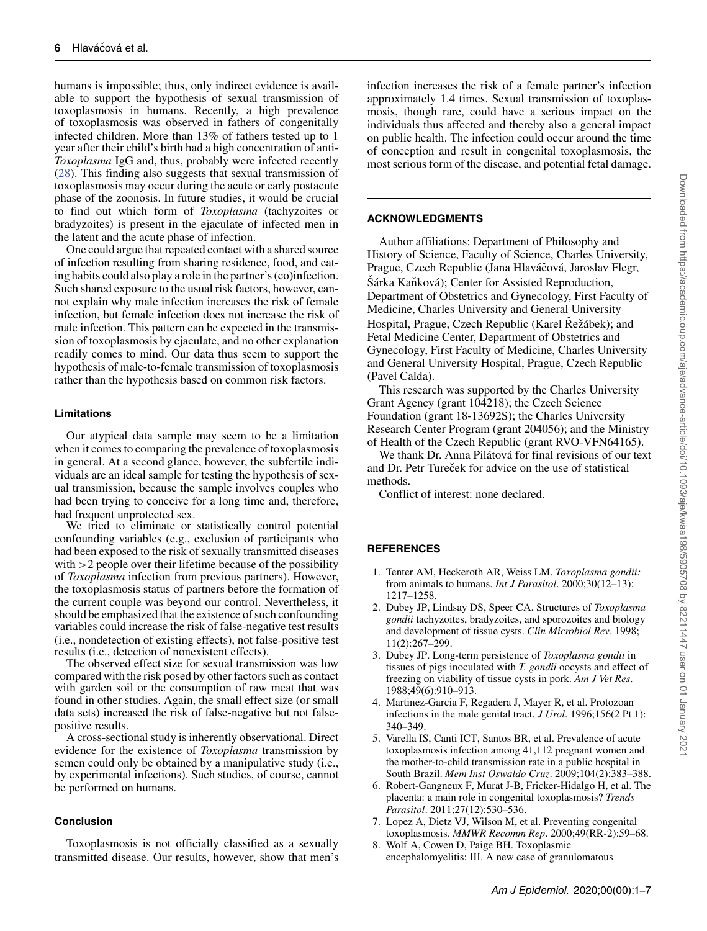humans is impossible; thus, only indirect evidence is available to support the hypothesis of sexual transmission of toxoplasmosis in humans. Recently, a high prevalence of toxoplasmosis was observed in fathers of congenitally infected children. More than 13% of fathers tested up to 1 year after their child's birth had a high concentration of anti-*Toxoplasma* IgG and, thus, probably were infected recently [\(28\)](#page-6-18). This finding also suggests that sexual transmission of toxoplasmosis may occur during the acute or early postacute phase of the zoonosis. In future studies, it would be crucial to find out which form of *Toxoplasma* (tachyzoites or bradyzoites) is present in the ejaculate of infected men in the latent and the acute phase of infection.

One could argue that repeated contact with a shared source of infection resulting from sharing residence, food, and eating habits could also play a role in the partner's (co)infection. Such shared exposure to the usual risk factors, however, cannot explain why male infection increases the risk of female infection, but female infection does not increase the risk of male infection. This pattern can be expected in the transmission of toxoplasmosis by ejaculate, and no other explanation readily comes to mind. Our data thus seem to support the hypothesis of male-to-female transmission of toxoplasmosis rather than the hypothesis based on common risk factors.

## **Limitations**

Our atypical data sample may seem to be a limitation when it comes to comparing the prevalence of toxoplasmosis in general. At a second glance, however, the subfertile individuals are an ideal sample for testing the hypothesis of sexual transmission, because the sample involves couples who had been trying to conceive for a long time and, therefore, had frequent unprotected sex.

We tried to eliminate or statistically control potential confounding variables (e.g., exclusion of participants who had been exposed to the risk of sexually transmitted diseases with *>*2 people over their lifetime because of the possibility of *Toxoplasma* infection from previous partners). However, the toxoplasmosis status of partners before the formation of the current couple was beyond our control. Nevertheless, it should be emphasized that the existence of such confounding variables could increase the risk of false-negative test results (i.e., nondetection of existing effects), not false-positive test results (i.e., detection of nonexistent effects).

The observed effect size for sexual transmission was low compared with the risk posed by other factors such as contact with garden soil or the consumption of raw meat that was found in other studies. Again, the small effect size (or small data sets) increased the risk of false-negative but not falsepositive results.

A cross-sectional study is inherently observational. Direct evidence for the existence of *Toxoplasma* transmission by semen could only be obtained by a manipulative study (i.e., by experimental infections). Such studies, of course, cannot be performed on humans.

### **Conclusion**

Toxoplasmosis is not officially classified as a sexually transmitted disease. Our results, however, show that men's infection increases the risk of a female partner's infection approximately 1.4 times. Sexual transmission of toxoplasmosis, though rare, could have a serious impact on the individuals thus affected and thereby also a general impact on public health. The infection could occur around the time of conception and result in congenital toxoplasmosis, the most serious form of the disease, and potential fetal damage.

# **ACKNOWLEDGMENTS**

Author affiliations: Department of Philosophy and History of Science, Faculty of Science, Charles University, Prague, Czech Republic (Jana Hlaváčová, Jaroslav Flegr, Sárka Kaňková); Center for Assisted Reproduction, Department of Obstetrics and Gynecology, First Faculty of Medicine, Charles University and General University Hospital, Prague, Czech Republic (Karel Režábek); and Fetal Medicine Center, Department of Obstetrics and Gynecology, First Faculty of Medicine, Charles University and General University Hospital, Prague, Czech Republic (Pavel Calda).

This research was supported by the Charles University Grant Agency (grant 104218); the Czech Science Foundation (grant 18-13692S); the Charles University Research Center Program (grant 204056); and the Ministry of Health of the Czech Republic (grant RVO-VFN64165).

We thank Dr. Anna Pilátová for final revisions of our text and Dr. Petr Tureček for advice on the use of statistical methods.

Conflict of interest: none declared.

# **REFERENCES**

- <span id="page-5-0"></span>1. Tenter AM, Heckeroth AR, Weiss LM. *Toxoplasma gondii:* from animals to humans. *Int J Parasitol*. 2000;30(12–13): 1217–1258.
- <span id="page-5-1"></span>2. Dubey JP, Lindsay DS, Speer CA. Structures of *Toxoplasma gondii* tachyzoites, bradyzoites, and sporozoites and biology and development of tissue cysts. *Clin Microbiol Rev*. 1998; 11(2):267–299.
- <span id="page-5-2"></span>3. Dubey JP. Long-term persistence of *Toxoplasma gondii* in tissues of pigs inoculated with *T. gondii* oocysts and effect of freezing on viability of tissue cysts in pork. *Am J Vet Res*. 1988;49(6):910–913.
- <span id="page-5-3"></span>4. Martinez-Garcia F, Regadera J, Mayer R, et al. Protozoan infections in the male genital tract. *J Urol*. 1996;156(2 Pt 1): 340–349.
- <span id="page-5-4"></span>5. Varella IS, Canti ICT, Santos BR, et al. Prevalence of acute toxoplasmosis infection among 41,112 pregnant women and the mother-to-child transmission rate in a public hospital in South Brazil. *Mem Inst Oswaldo Cruz*. 2009;104(2):383–388.
- <span id="page-5-5"></span>6. Robert-Gangneux F, Murat J-B, Fricker-Hidalgo H, et al. The placenta: a main role in congenital toxoplasmosis? *Trends Parasitol*. 2011;27(12):530–536.
- <span id="page-5-6"></span>7. Lopez A, Dietz VJ, Wilson M, et al. Preventing congenital toxoplasmosis. *MMWR Recomm Rep*. 2000;49(RR-2):59–68.
- <span id="page-5-7"></span>8. Wolf A, Cowen D, Paige BH. Toxoplasmic encephalomyelitis: III. A new case of granulomatous